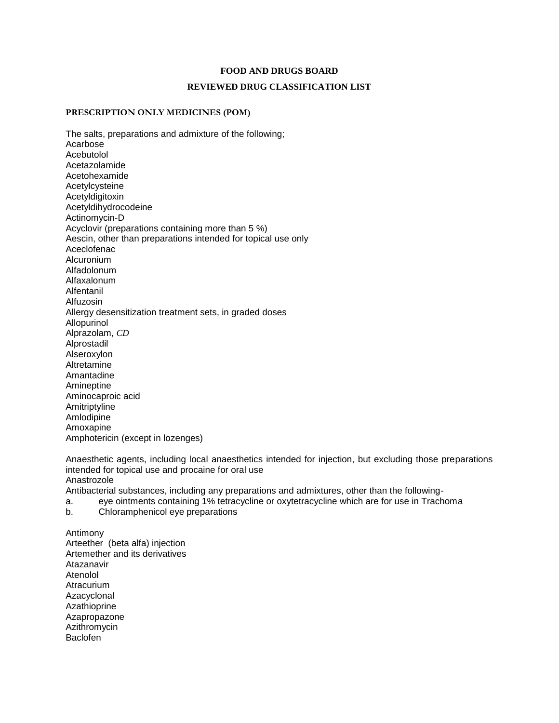# **FOOD AND DRUGS BOARD**

### **REVIEWED DRUG CLASSIFICATION LIST**

## **PRESCRIPTION ONLY MEDICINES (POM)**

The salts, preparations and admixture of the following; Acarbose **Acebutolol** Acetazolamide Acetohexamide Acetylcysteine Acetyldigitoxin Acetyldihydrocodeine Actinomycin-D Acyclovir (preparations containing more than 5 %) Aescin, other than preparations intended for topical use only Aceclofenac Alcuronium Alfadolonum Alfaxalonum Alfentanil Alfuzosin Allergy desensitization treatment sets, in graded doses Allopurinol Alprazolam, *CD* Alprostadil Alseroxylon **Altretamine** Amantadine Amineptine Aminocaproic acid Amitriptyline Amlodipine Amoxapine Amphotericin (except in lozenges)

Anaesthetic agents, including local anaesthetics intended for injection, but excluding those preparations intended for topical use and procaine for oral use Anastrozole

Antibacterial substances, including any preparations and admixtures, other than the following-

- a. eye ointments containing 1% tetracycline or oxytetracycline which are for use in Trachoma
- b. Chloramphenicol eye preparations

Antimony Arteether (beta alfa) injection Artemether and its derivatives Atazanavir Atenolol **Atracurium** Azacyclonal Azathioprine Azapropazone Azithromycin Baclofen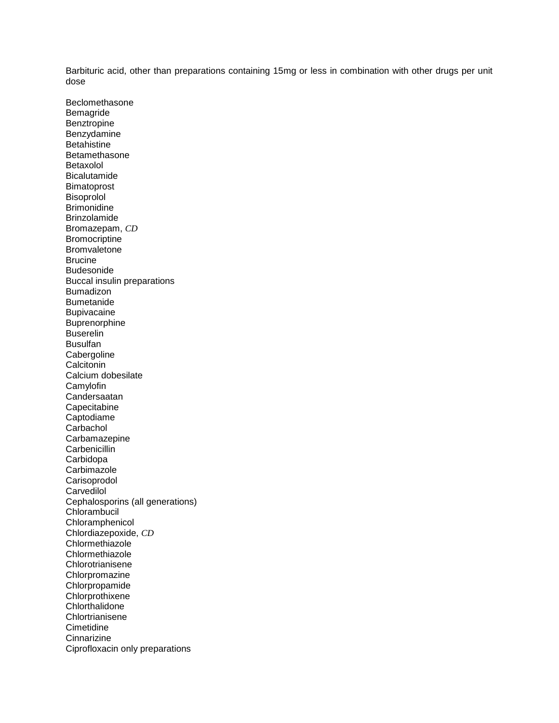Barbituric acid, other than preparations containing 15mg or less in combination with other drugs per unit dose

**Beclomethasone** Bemagride Benztropine Benzydamine Betahistine Betamethasone Betaxolol Bicalutamide Bimatoprost Bisoprolol **Brimonidine** Brinzolamide Bromazepam, *CD* Bromocriptine **Bromvaletone** Brucine Budesonide Buccal insulin preparations Bumadizon Bumetanide Bupivacaine **Buprenorphine Buserelin** Busulfan **Cabergoline Calcitonin** Calcium dobesilate **Camylofin** Candersaatan **Capecitabine** Captodiame **Carbachol Carbamazepine Carbenicillin** Carbidopa **Carbimazole** Carisoprodol **Carvedilol** Cephalosporins (all generations) Chlorambucil Chloramphenicol Chlordiazepoxide, *CD* Chlormethiazole **Chlormethiazole** Chlorotrianisene Chlorpromazine Chlorpropamide Chlorprothixene Chlorthalidone Chlortrianisene **Cimetidine Cinnarizine** Ciprofloxacin only preparations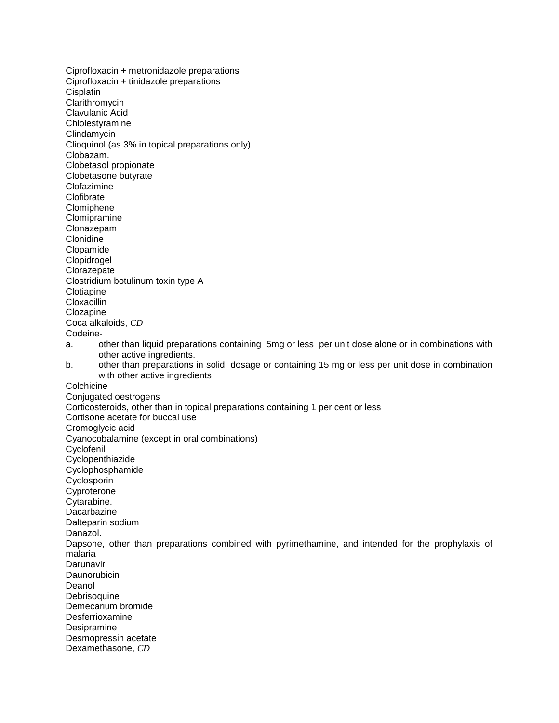Ciprofloxacin + metronidazole preparations Ciprofloxacin + tinidazole preparations **Cisplatin Clarithromycin** Clavulanic Acid Chlolestyramine Clindamycin Clioquinol (as 3% in topical preparations only) Clobazam. Clobetasol propionate Clobetasone butyrate Clofazimine **Clofibrate** Clomiphene Clomipramine Clonazepam Clonidine Clopamide Clopidrogel Clorazepate Clostridium botulinum toxin type A Clotiapine **Cloxacillin** Clozapine Coca alkaloids, *CD* Codeinea. other than liquid preparations containing 5mg or less per unit dose alone or in combinations with other active ingredients. b. other than preparations in solid dosage or containing 15 mg or less per unit dose in combination with other active ingredients **Colchicine** Conjugated oestrogens Corticosteroids, other than in topical preparations containing 1 per cent or less Cortisone acetate for buccal use Cromoglycic acid Cyanocobalamine (except in oral combinations) **Cyclofenil** Cyclopenthiazide Cyclophosphamide Cyclosporin Cyproterone Cytarabine. Dacarbazine Dalteparin sodium Danazol. Dapsone, other than preparations combined with pyrimethamine, and intended for the prophylaxis of malaria Darunavir **Daunorubicin** Deanol Debrisoquine Demecarium bromide Desferrioxamine Desipramine Desmopressin acetate Dexamethasone, *CD*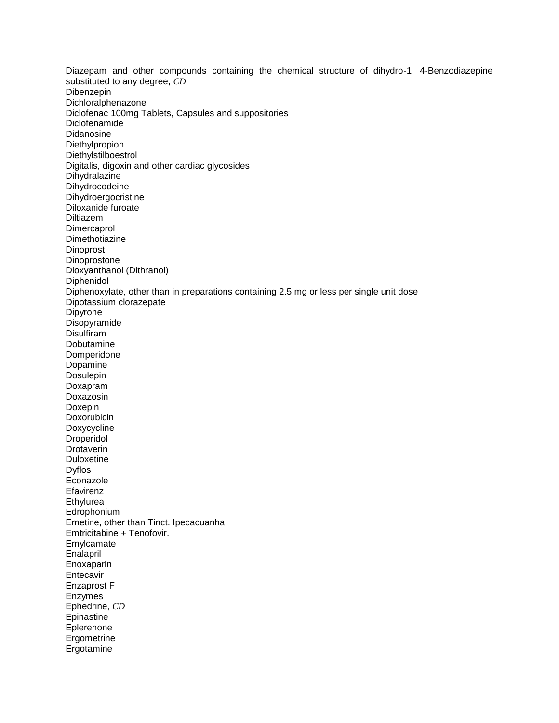Diazepam and other compounds containing the chemical structure of dihydro-1, 4-Benzodiazepine substituted to any degree, *CD* **Dibenzepin** Dichloralphenazone Diclofenac 100mg Tablets, Capsules and suppositories Diclofenamide Didanosine Diethylpropion Diethylstilboestrol Digitalis, digoxin and other cardiac glycosides Dihydralazine Dihydrocodeine Dihydroergocristine Diloxanide furoate Diltiazem Dimercaprol Dimethotiazine Dinoprost Dinoprostone Dioxyanthanol (Dithranol) Diphenidol Diphenoxylate, other than in preparations containing 2.5 mg or less per single unit dose Dipotassium clorazepate Dipyrone Disopyramide **Disulfiram** Dobutamine Domperidone Dopamine Dosulepin Doxapram Doxazosin Doxepin Doxorubicin Doxycycline Droperidol Drotaverin Duloxetine Dyflos Econazole Efavirenz Ethylurea **Edrophonium** Emetine, other than Tinct. Ipecacuanha Emtricitabine + Tenofovir. Emylcamate Enalapril Enoxaparin Entecavir Enzaprost F Enzymes Ephedrine, *CD* Epinastine **Eplerenone** Ergometrine Ergotamine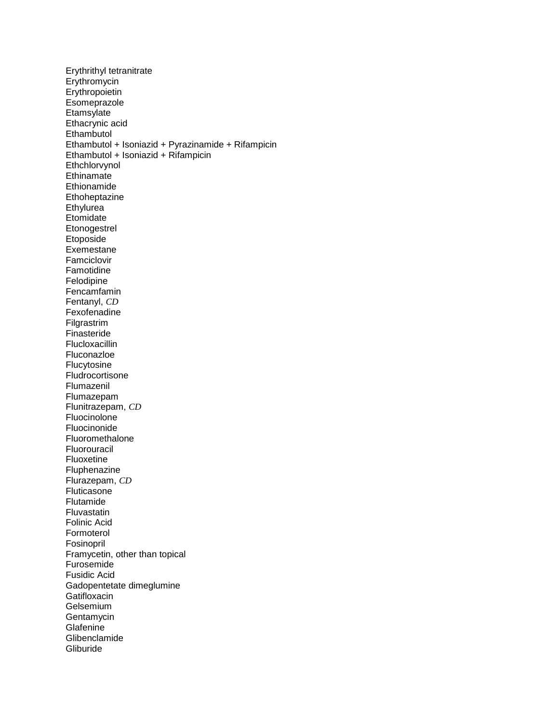Erythrithyl tetranitrate **Erythromycin Erythropoietin Esomeprazole Etamsylate** Ethacrynic acid **Ethambutol** Ethambutol + Isoniazid + Pyrazinamide + Rifampicin Ethambutol + Isoniazid + Rifampicin Ethchlorvynol **Ethinamate** Ethionamide Ethoheptazine Ethylurea **Etomidate Etonogestrel** Etoposide Exemestane Famciclovir Famotidine Felodipine Fencamfamin Fentanyl, *CD* Fexofenadine Filgrastrim Finasteride Flucloxacillin Fluconazloe Flucytosine Fludrocortisone Flumazenil Flumazepam Flunitrazepam, *CD* Fluocinolone Fluocinonide Fluoromethalone Fluorouracil Fluoxetine Fluphenazine Flurazepam, *CD* Fluticasone Flutamide Fluvastatin Folinic Acid Formoterol Fosinopril Framycetin, other than topical Furosemide Fusidic Acid Gadopentetate dimeglumine **Gatifloxacin** Gelsemium Gentamycin Glafenine Glibenclamide Gliburide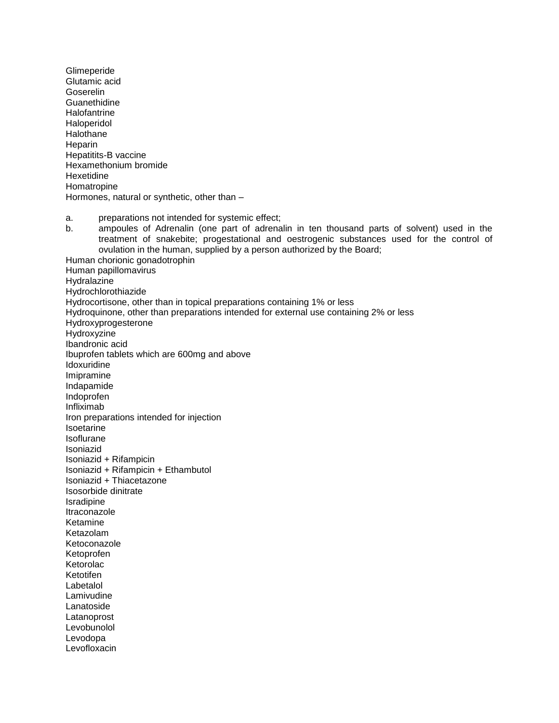Glimeperide Glutamic acid Goserelin **Guanethidine** Halofantrine Haloperidol Halothane Heparin Hepatitits-B vaccine Hexamethonium bromide Hexetidine Homatropine Hormones, natural or synthetic, other than – a. preparations not intended for systemic effect; b. ampoules of Adrenalin (one part of adrenalin in ten thousand parts of solvent) used in the treatment of snakebite; progestational and oestrogenic substances used for the control of ovulation in the human, supplied by a person authorized by the Board; Human chorionic gonadotrophin Human papillomavirus **Hydralazine** Hydrochlorothiazide Hydrocortisone, other than in topical preparations containing 1% or less Hydroquinone, other than preparations intended for external use containing 2% or less Hydroxyprogesterone Hydroxyzine Ibandronic acid Ibuprofen tablets which are 600mg and above Idoxuridine Imipramine Indapamide Indoprofen Infliximab Iron preparations intended for injection Isoetarine Isoflurane Isoniazid Isoniazid + Rifampicin Isoniazid + Rifampicin + Ethambutol Isoniazid + Thiacetazone Isosorbide dinitrate Isradipine Itraconazole Ketamine Ketazolam Ketoconazole Ketoprofen Ketorolac Ketotifen Labetalol Lamivudine Lanatoside Latanoprost Levobunolol Levodopa Levofloxacin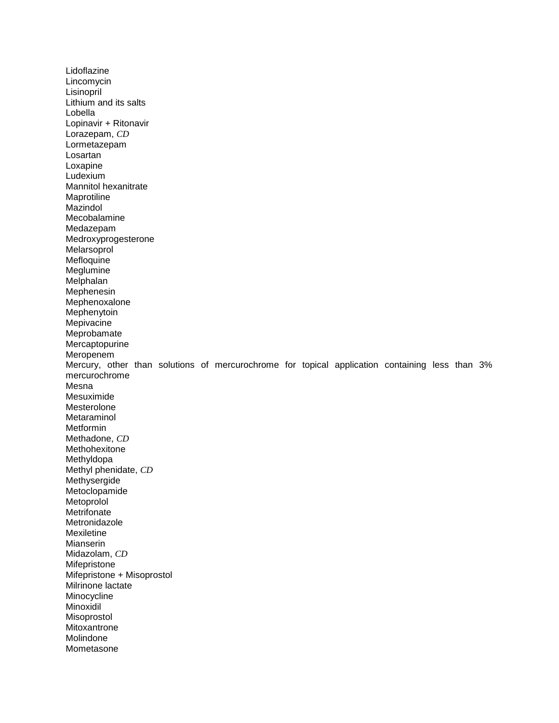Lidoflazine Lincomycin Lisinopril Lithium and its salts Lobella Lopinavir + Ritonavir Lorazepam, *CD* Lormetazepam Losartan Loxapine Ludexium Mannitol hexanitrate Maprotiline Mazindol Mecobalamine Medazepam Medroxyprogesterone **Melarsoprol** Mefloquine Meglumine Melphalan Mephenesin Mephenoxalone Mephenytoin Mepivacine Meprobamate Mercaptopurine Meropenem Mercury, other than solutions of mercurochrome for topical application containing less than 3% mercurochrome Mesna Mesuximide Mesterolone Metaraminol Metformin Methadone, *CD* Methohexitone Methyldopa Methyl phenidate, *CD* Methysergide Metoclopamide Metoprolol **Metrifonate** Metronidazole Mexiletine Mianserin Midazolam, *CD* Mifepristone Mifepristone + Misoprostol Milrinone lactate Minocycline Minoxidil Misoprostol **Mitoxantrone** Molindone Mometasone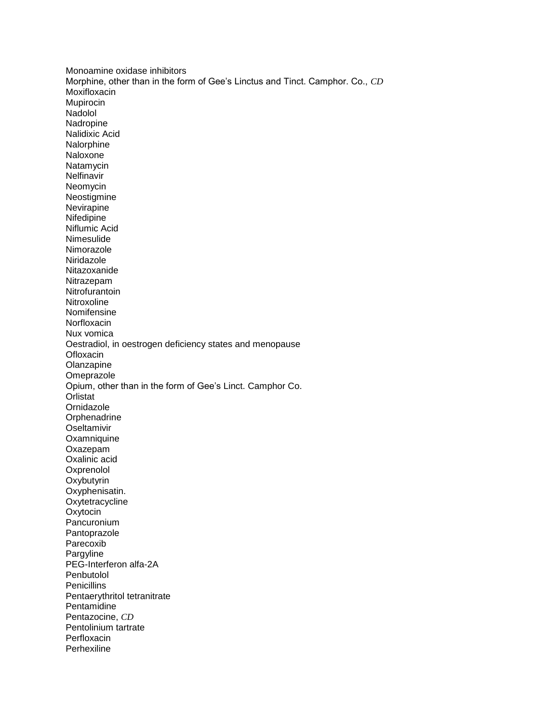Monoamine oxidase inhibitors Morphine, other than in the form of Gee's Linctus and Tinct. Camphor. Co., *CD* Moxifloxacin Mupirocin Nadolol Nadropine Nalidixic Acid Nalorphine Naloxone Natamycin **Nelfinavir** Neomycin Neostigmine Nevirapine **Nifedipine** Niflumic Acid Nimesulide Nimorazole Niridazole Nitazoxanide Nitrazepam Nitrofurantoin **Nitroxoline** Nomifensine **Norfloxacin** Nux vomica Oestradiol, in oestrogen deficiency states and menopause **Ofloxacin** Olanzapine **Omeprazole** Opium, other than in the form of Gee's Linct. Camphor Co. **Orlistat** Ornidazole **Orphenadrine Oseltamivir Oxamniquine** Oxazepam Oxalinic acid **Oxprenolol Oxybutyrin** Oxyphenisatin. **Oxytetracycline Oxytocin** Pancuronium Pantoprazole Parecoxib Pargyline PEG-Interferon alfa-2A **Penbutolol Penicillins** Pentaerythritol tetranitrate Pentamidine Pentazocine, *CD* Pentolinium tartrate Perfloxacin **Perhexiline**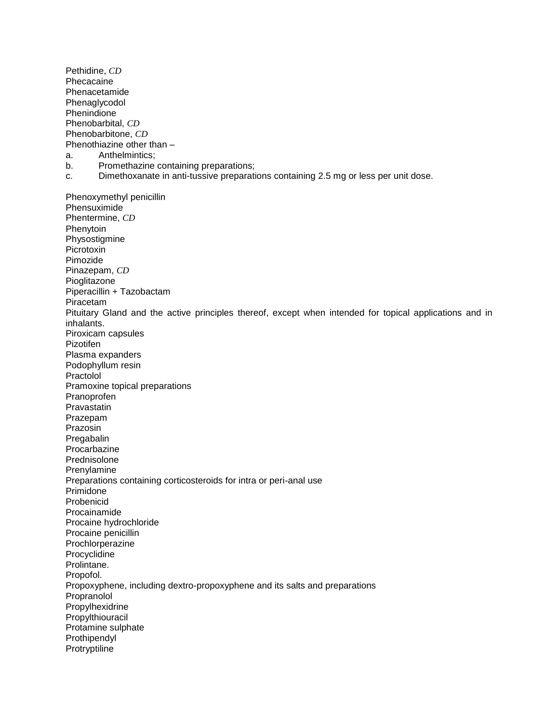Pethidine, *CD* Phecacaine Phenacetamide Phenaglycodol Phenindione Phenobarbital, *CD* Phenobarbitone, *CD* Phenothiazine other than – a. Anthelmintics; b. Promethazine containing preparations; c. Dimethoxanate in anti-tussive preparations containing 2.5 mg or less per unit dose. Phenoxymethyl penicillin Phensuximide Phentermine, *CD* Phenytoin Physostigmine Picrotoxin Pimozide Pinazepam, *CD* Pioglitazone Piperacillin + Tazobactam Piracetam Pituitary Gland and the active principles thereof, except when intended for topical applications and in inhalants. Piroxicam capsules Pizotifen Plasma expanders Podophyllum resin Practolol Pramoxine topical preparations Pranoprofen Pravastatin Prazepam Prazosin Pregabalin Procarbazine Prednisolone Prenylamine Preparations containing corticosteroids for intra or peri-anal use Primidone Probenicid Procainamide Procaine hydrochloride Procaine penicillin Prochlorperazine Procyclidine Prolintane. Propofol. Propoxyphene, including dextro-propoxyphene and its salts and preparations Propranolol Propylhexidrine Propylthiouracil Protamine sulphate Prothipendyl Protryptiline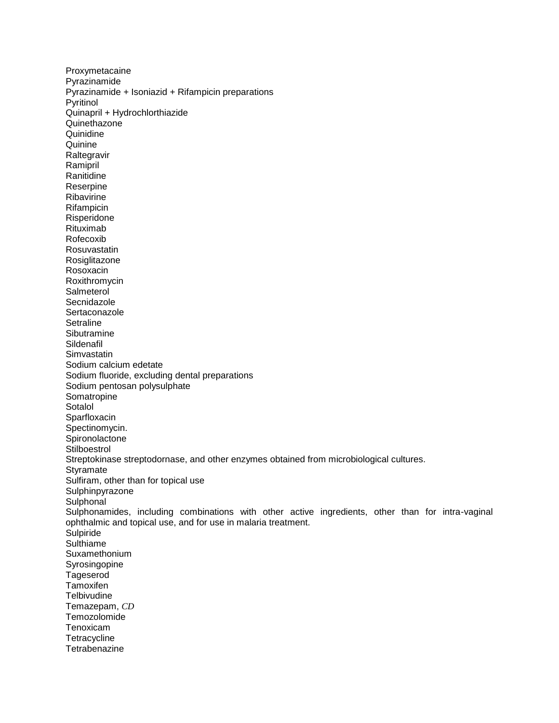Proxymetacaine Pyrazinamide Pyrazinamide + Isoniazid + Rifampicin preparations Pyritinol Quinapril + Hydrochlorthiazide **Quinethazone Quinidine Quinine** Raltegravir Ramipril Ranitidine Reserpine Ribavirine Rifampicin Risperidone Rituximab Rofecoxib Rosuvastatin Rosiglitazone Rosoxacin Roxithromycin **Salmeterol** Secnidazole **Sertaconazole Setraline Sibutramine Sildenafil Simvastatin** Sodium calcium edetate Sodium fluoride, excluding dental preparations Sodium pentosan polysulphate **Somatropine** Sotalol **Sparfloxacin** Spectinomycin. **Spironolactone Stilboestrol** Streptokinase streptodornase, and other enzymes obtained from microbiological cultures. **Styramate** Sulfiram, other than for topical use Sulphinpyrazone **Sulphonal** Sulphonamides, including combinations with other active ingredients, other than for intra-vaginal ophthalmic and topical use, and for use in malaria treatment. Sulpiride **Sulthiame** Suxamethonium Syrosingopine Tageserod **Tamoxifen Telbivudine** Temazepam, *CD* Temozolomide Tenoxicam **Tetracycline Tetrabenazine**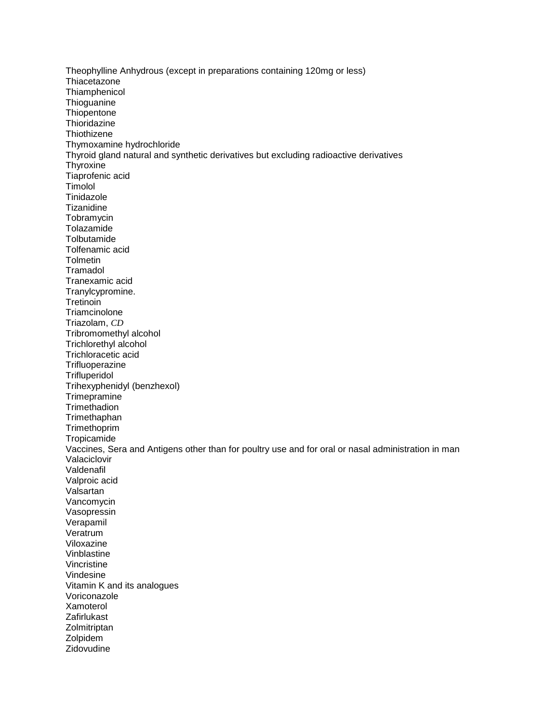Theophylline Anhydrous (except in preparations containing 120mg or less) **Thiacetazone Thiamphenicol Thioguanine Thiopentone Thioridazine Thiothizene** Thymoxamine hydrochloride Thyroid gland natural and synthetic derivatives but excluding radioactive derivatives **Thyroxine** Tiaprofenic acid **Timolol** Tinidazole **Tizanidine** Tobramycin Tolazamide **Tolbutamide** Tolfenamic acid **Tolmetin Tramadol** Tranexamic acid Tranylcypromine. **Tretinoin Triamcinolone** Triazolam, *CD* Tribromomethyl alcohol Trichlorethyl alcohol Trichloracetic acid **Trifluoperazine Trifluperidol** Trihexyphenidyl (benzhexol) Trimepramine **Trimethadion Trimethaphan Trimethoprim Tropicamide** Vaccines, Sera and Antigens other than for poultry use and for oral or nasal administration in man Valaciclovir Valdenafil Valproic acid Valsartan Vancomycin Vasopressin Verapamil Veratrum Viloxazine Vinblastine Vincristine Vindesine Vitamin K and its analogues Voriconazole Xamoterol Zafirlukast Zolmitriptan Zolpidem **Zidovudine**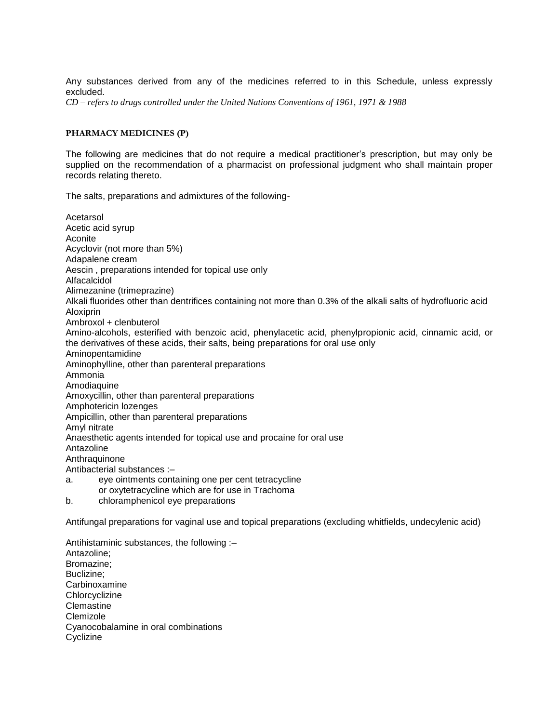Any substances derived from any of the medicines referred to in this Schedule, unless expressly excluded.

*CD – refers to drugs controlled under the United Nations Conventions of 1961, 1971 & 1988*

# **PHARMACY MEDICINES (P)**

The following are medicines that do not require a medical practitioner's prescription, but may only be supplied on the recommendation of a pharmacist on professional judgment who shall maintain proper records relating thereto.

The salts, preparations and admixtures of the following-

Acetarsol Acetic acid syrup Aconite Acyclovir (not more than 5%) Adapalene cream Aescin , preparations intended for topical use only Alfacalcidol Alimezanine (trimeprazine) Alkali fluorides other than dentrifices containing not more than 0.3% of the alkali salts of hydrofluoric acid Aloxiprin Ambroxol + clenbuterol Amino-alcohols, esterified with benzoic acid, phenylacetic acid, phenylpropionic acid, cinnamic acid, or the derivatives of these acids, their salts, being preparations for oral use only Aminopentamidine Aminophylline, other than parenteral preparations Ammonia Amodiaquine Amoxycillin, other than parenteral preparations Amphotericin lozenges Ampicillin, other than parenteral preparations Amyl nitrate Anaesthetic agents intended for topical use and procaine for oral use Antazoline Anthraquinone Antibacterial substances :– a. eye ointments containing one per cent tetracycline or oxytetracycline which are for use in Trachoma b. chloramphenicol eye preparations

Antifungal preparations for vaginal use and topical preparations (excluding whitfields, undecylenic acid)

Antihistaminic substances, the following :– Antazoline; Bromazine; Buclizine; **Carbinoxamine Chlorcyclizine Clemastine** Clemizole Cyanocobalamine in oral combinations Cyclizine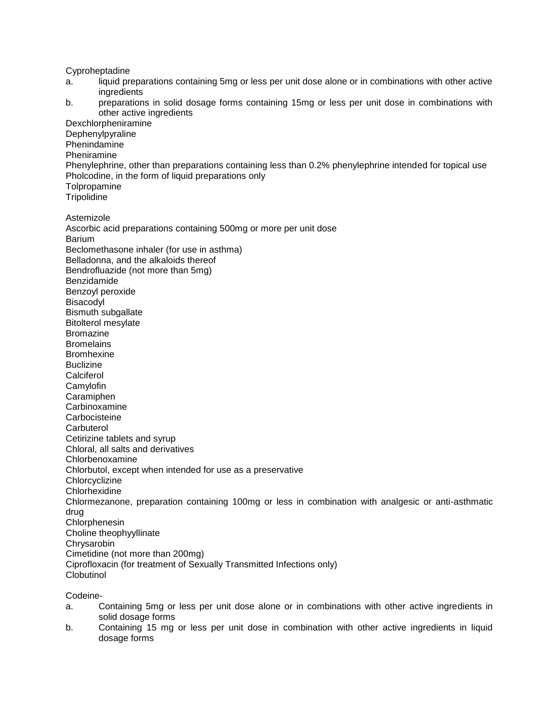Cyproheptadine

- a. liquid preparations containing 5mg or less per unit dose alone or in combinations with other active **ingredients**
- b. preparations in solid dosage forms containing 15mg or less per unit dose in combinations with other active ingredients

Dexchlorpheniramine

Dephenylpyraline

Phenindamine Pheniramine

Phenylephrine, other than preparations containing less than 0.2% phenylephrine intended for topical use Pholcodine, in the form of liquid preparations only

**Tolpropamine Tripolidine** 

Astemizole

Ascorbic acid preparations containing 500mg or more per unit dose Barium Beclomethasone inhaler (for use in asthma) Belladonna, and the alkaloids thereof Bendrofluazide (not more than 5mg) Benzidamide Benzoyl peroxide Bisacodyl Bismuth subgallate Bitolterol mesylate Bromazine **Bromelains** Bromhexine **Buclizine Calciferol** Camylofin Caramiphen **Carbinoxamine Carbocisteine Carbuterol** Cetirizine tablets and syrup Chloral, all salts and derivatives Chlorbenoxamine Chlorbutol, except when intended for use as a preservative Chlorcyclizine Chlorhexidine Chlormezanone, preparation containing 100mg or less in combination with analgesic or anti-asthmatic drug Chlorphenesin Choline theophyyllinate **Chrysarobin** Cimetidine (not more than 200mg) Ciprofloxacin (for treatment of Sexually Transmitted Infections only) **Clobutinol** 

Codeine-

- a. Containing 5mg or less per unit dose alone or in combinations with other active ingredients in solid dosage forms
- b. Containing 15 mg or less per unit dose in combination with other active ingredients in liquid dosage forms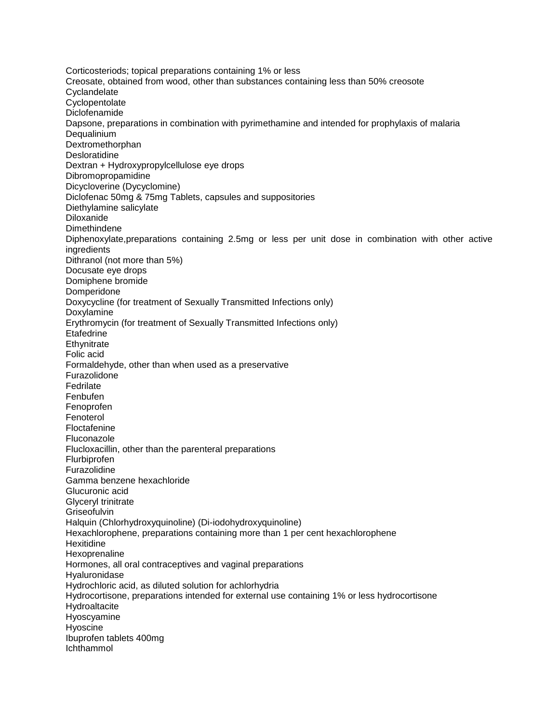Corticosteriods; topical preparations containing 1% or less Creosate, obtained from wood, other than substances containing less than 50% creosote **Cyclandelate Cyclopentolate** Diclofenamide Dapsone, preparations in combination with pyrimethamine and intended for prophylaxis of malaria **Dequalinium** Dextromethorphan **Desloratidine** Dextran + Hydroxypropylcellulose eye drops Dibromopropamidine Dicycloverine (Dycyclomine) Diclofenac 50mg & 75mg Tablets, capsules and suppositories Diethylamine salicylate Diloxanide Dimethindene Diphenoxylate,preparations containing 2.5mg or less per unit dose in combination with other active ingredients Dithranol (not more than 5%) Docusate eye drops Domiphene bromide Domperidone Doxycycline (for treatment of Sexually Transmitted Infections only) Doxylamine Erythromycin (for treatment of Sexually Transmitted Infections only) Etafedrine **Ethynitrate** Folic acid Formaldehyde, other than when used as a preservative Furazolidone Fedrilate Fenbufen Fenoprofen Fenoterol Floctafenine Fluconazole Flucloxacillin, other than the parenteral preparations Flurbiprofen Furazolidine Gamma benzene hexachloride Glucuronic acid Glyceryl trinitrate **Griseofulvin** Halquin (Chlorhydroxyquinoline) (Di-iodohydroxyquinoline) Hexachlorophene, preparations containing more than 1 per cent hexachlorophene **Hexitidine** Hexoprenaline Hormones, all oral contraceptives and vaginal preparations Hyaluronidase Hydrochloric acid, as diluted solution for achlorhydria Hydrocortisone, preparations intended for external use containing 1% or less hydrocortisone Hydroaltacite Hyoscyamine Hyoscine Ibuprofen tablets 400mg Ichthammol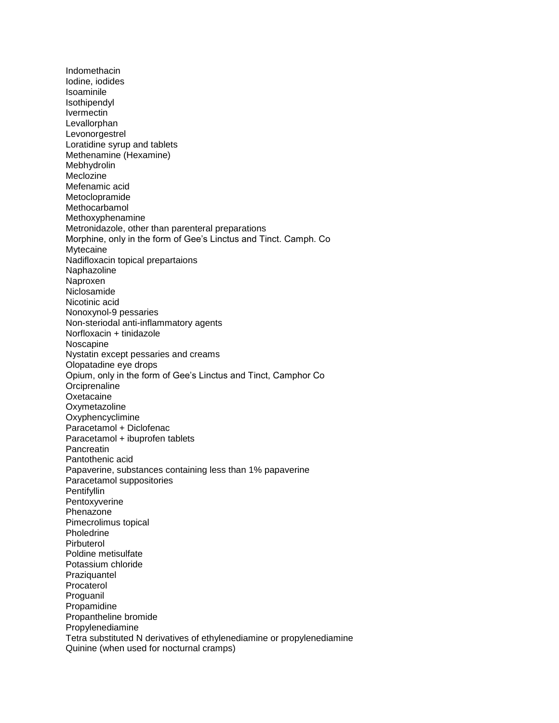Indomethacin Iodine, iodides Isoaminile Isothipendyl Ivermectin Levallorphan Levonorgestrel Loratidine syrup and tablets Methenamine (Hexamine) Mebhydrolin Meclozine Mefenamic acid Metoclopramide Methocarbamol Methoxyphenamine Metronidazole, other than parenteral preparations Morphine, only in the form of Gee's Linctus and Tinct. Camph. Co Mytecaine Nadifloxacin topical prepartaions Naphazoline Naproxen Niclosamide Nicotinic acid Nonoxynol-9 pessaries Non-steriodal anti-inflammatory agents Norfloxacin + tinidazole Noscapine Nystatin except pessaries and creams Olopatadine eye drops Opium, only in the form of Gee's Linctus and Tinct, Camphor Co **Orciprenaline Oxetacaine Oxymetazoline Oxyphencyclimine** Paracetamol + Diclofenac Paracetamol + ibuprofen tablets **Pancreatin** Pantothenic acid Papaverine, substances containing less than 1% papaverine Paracetamol suppositories Pentifyllin Pentoxyverine **Phenazone** Pimecrolimus topical Pholedrine Pirbuterol Poldine metisulfate Potassium chloride Praziquantel Procaterol Proguanil Propamidine Propantheline bromide Propylenediamine Tetra substituted N derivatives of ethylenediamine or propylenediamine Quinine (when used for nocturnal cramps)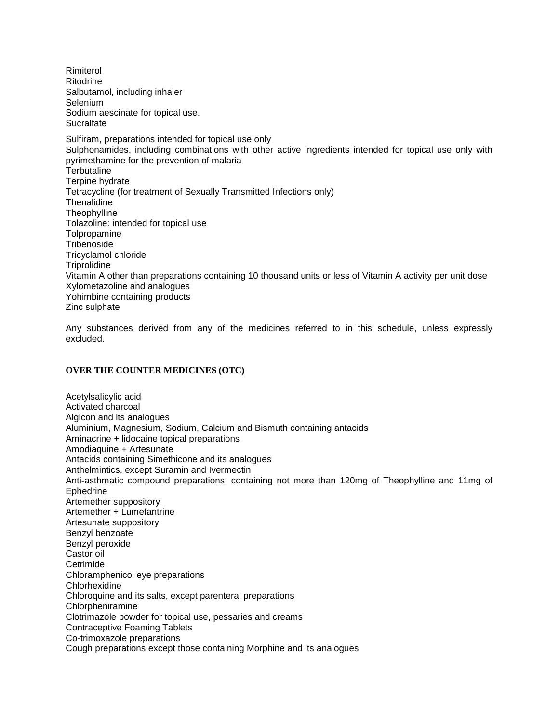Rimiterol Ritodrine Salbutamol, including inhaler Selenium Sodium aescinate for topical use. **Sucralfate** Sulfiram, preparations intended for topical use only Sulphonamides, including combinations with other active ingredients intended for topical use only with pyrimethamine for the prevention of malaria **Terbutaline** Terpine hydrate Tetracycline (for treatment of Sexually Transmitted Infections only) **Thenalidine Theophylline** Tolazoline: intended for topical use **Tolpropamine Tribenoside** Tricyclamol chloride **Triprolidine** Vitamin A other than preparations containing 10 thousand units or less of Vitamin A activity per unit dose Xylometazoline and analogues Yohimbine containing products Zinc sulphate

Any substances derived from any of the medicines referred to in this schedule, unless expressly excluded.

### **OVER THE COUNTER MEDICINES (OTC)**

Acetylsalicylic acid Activated charcoal Algicon and its analogues Aluminium, Magnesium, Sodium, Calcium and Bismuth containing antacids Aminacrine + lidocaine topical preparations Amodiaquine + Artesunate Antacids containing Simethicone and its analogues Anthelmintics, except Suramin and Ivermectin Anti-asthmatic compound preparations, containing not more than 120mg of Theophylline and 11mg of Ephedrine Artemether suppository Artemether + Lumefantrine Artesunate suppository Benzyl benzoate Benzyl peroxide Castor oil Cetrimide Chloramphenicol eye preparations **Chlorhexidine** Chloroquine and its salts, except parenteral preparations Chlorpheniramine Clotrimazole powder for topical use, pessaries and creams Contraceptive Foaming Tablets Co-trimoxazole preparations Cough preparations except those containing Morphine and its analogues